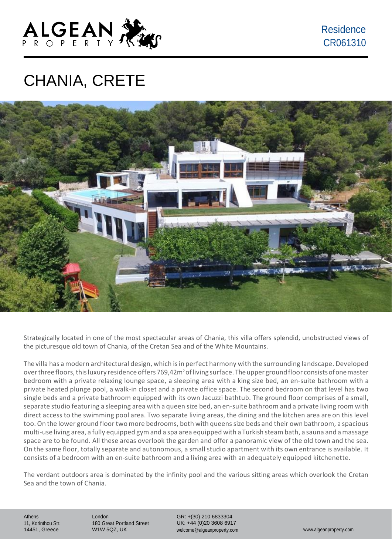

Residence CR061310

## CHANIA, CRETE



Strategically located in one of the most spectacular areas of Chania, this villa offers splendid, unobstructed views of the picturesque old town of Chania, of the Cretan Sea and of the White Mountains.

The villa has a modern architectural design, which isin perfect harmony with the surrounding landscape. Developed over three floors, this luxury residence offers 769,42m<sup>2</sup> of living surface. The upper ground floor consists of one master bedroom with a private relaxing lounge space, a sleeping area with a king size bed, an en-suite bathroom with a private heated plunge pool, a walk-in closet and a private office space. The second bedroom on that level has two single beds and a private bathroom equipped with its own Jacuzzi bathtub. The ground floor comprises of a small, separate studio featuring a sleeping area with a queen size bed, an en-suite bathroom and a private living room with direct access to the swimming pool area. Two separate living areas, the dining and the kitchen area are on this level too. On the lower ground floor two more bedrooms, both with queenssize beds and their own bathroom, a spacious multi-use living area, a fully equipped gym and a spa area equipped with a Turkish steam bath, a sauna and amassage space are to be found. All these areas overlook the garden and offer a panoramic view of the old town and the sea. On the same floor, totally separate and autonomous, a small studio apartment with its own entrance is available. It consists of a bedroom with an en-suite bathroom and a living area with an adequately equipped kitchenette.

The verdant outdoors area is dominated by the infinity pool and the various sitting areas which overlook the Cretan Sea and the town of Chania.

Athens 11, Korinthou Str. 14451, Greece

London 180 Great Portland Street W1W 5QZ, UK

GR: +(30) 210 6833304 UK: +44 (0)20 3608 6917 [welcome@algeanproperty.com](mailto:welcome@algeanproperty.com) [www.algeanproperty.com](http://www.algeanproperty.com/)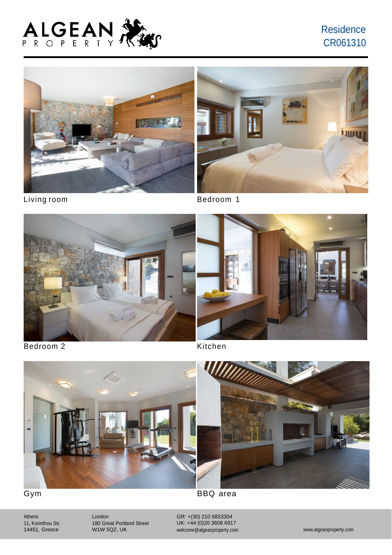

### **Residence** CR061310





Living room **Bedroom** 1





Bedroom 2 Kitchen



Athens 11, Korinthou Str. 14451, Greece

London 180 Great Portland Street W1W 5QZ, UK

GR: +(30) 210 6833304 UK: +44 (0)20 3608 6917 [welcome@algeanproperty.com](mailto:welcome@algeanproperty.com) [www.algeanproperty.com](http://www.algeanproperty.com/)